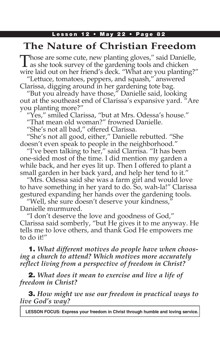## Lesson 12 • May 22 • Page 82

# **The Nature of Christian Freedom**

Those are some cute, new planting gloves," said Danielle, as she took survey of the gardening tools and chicken wire laid out on her friend's deck. "What are you planting?"

"Lettuce, tomatoes, peppers, and squash," answered Clarissa, digging around in her gardening tote bag.

"But you already have those," Danielle said, looking out at the southeast end of Clarissa's expansive yard. "Are you planting more?"

"Yes," smiled Clarissa, "but at Mrs. Odessa's house."

"That mean old woman?" frowned Danielle.

"She's not all bad," offered Clarissa.

"She's not all good, either," Danielle rebutted. "She doesn't even speak to people in the neighborhood."

"I've been talking to her," said Clarrisa. "It has been one-sided most of the time. I did mention my garden a while back, and her eyes lit up. Then I offered to plant a small garden in her back yard, and help her tend to it."

"Mrs. Odessa said she was a farm girl and would love to have something in her yard to do. So, wah-la!" Clarissa gestured expanding her hands over the gardening tools.

"Well, she sure doesn't deserve your kindness," Danielle murmured.

"I don't deserve the love and goodness of God," Clarissa said somberly, "but He gives it to me anyway. He tells me to love others, and thank God He empowers me to do it!"

1. *What different motives do people have when choosing a church to attend? Which motives more accurately reflect living from a perspective of freedom in Christ?*

2. *What does it mean to exercise and live a life of freedom in Christ?*

3. *How might we use our freedom in practical ways to live God's way?*

**LESSON FOCUS: Express your freedom in Christ through humble and loving service.**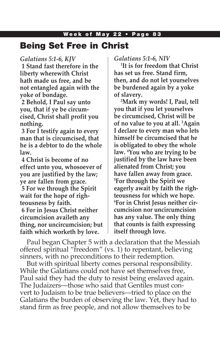# Being Set Free in Christ

### *Galatians 5:1-6, KJV*

**1 Stand fast therefore in the liberty wherewith Christ hath made us free, and be not entangled again with the yoke of bondage.**

**2 Behold, I Paul say unto you, that if ye be circumcised, Christ shall profit you nothing.**

**3 For I testify again to every man that is circumcised, that he is a debtor to do the whole law.**

**4 Christ is become of no effect unto you, whosoever of you are justified by the law; ye are fallen from grace. 5 For we through the Spirit wait for the hope of righteousness by faith. 6 For in Jesus Christ neither circumcision availeth any thing, nor uncircumcision; but faith which worketh by love.**

*Galatians 5:1-6, NIV*

**1 It is for freedom that Christ has set us free. Stand firm, then, and do not let yourselves be burdened again by a yoke of slavery.**

**2 Mark my words! I, Paul, tell you that if you let yourselves be circumcised, Christ will be of no value to you at all. 3 Again I declare to every man who lets himself be circumcised that he is obligated to obey the whole law. 4 You who are trying to be justified by the law have been alienated from Christ; you have fallen away from grace. 5 For through the Spirit we eagerly await by faith the righteousness for which we hope. 6 For in Christ Jesus neither circumcision nor uncircumcision has any value. The only thing that counts is faith expressing itself through love.**

Paul began Chapter 5 with a declaration that the Messiah offered spiritual "freedom" (vs. 1) to repentant, believing sinners, with no preconditions to their redemption.

But with spiritual liberty comes personal responsibility. While the Galatians could not have set themselves free, Paul said they had the duty to resist being enslaved again. The Judaizers—those who said that Gentiles must convert to Judaism to be true believers—tried to place on the Galatians the burden of observing the law. Yet, they had to stand firm as free people, and not allow themselves to be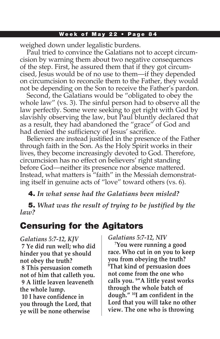weighed down under legalistic burdens.

Paul tried to convince the Galatians not to accept circumcision by warning them about two negative consequences of the step. First, he assured them that if they got circumcised, Jesus would be of no use to them—if they depended on circumcision to reconcile them to the Father, they would not be depending on the Son to receive the Father's pardon.

Second, the Galatians would be "obligated to obey the whole law" (vs. 3). The sinful person had to observe all the law perfectly. Some were seeking to get right with God by slavishly observing the law, but Paul bluntly declared that as a result, they had abandoned the "grace" of God and had denied the sufficiency of Jesus' sacrifice.

Believers are instead justified in the presence of the Father through faith in the Son. As the Holy Spirit works in their lives, they become increasingly devoted to God. Therefore, circumcision has no effect on believers' right standing before God—neither its presence nor absence mattered. Instead, what matters is "faith" in the Messiah demonstrating itself in genuine acts of "love" toward others (vs. 6).

4. *In what sense had the Galatians been misled?*

5. *What was the result of trying to be justified by the law?*

# Censuring for the Agitators

*Galatians 5:7-12, KJV* **7 Ye did run well; who did hinder you that ye should not obey the truth? 8 This persuasion cometh not of him that calleth you. 9 A little leaven leaveneth the whole lump.**

**10 I have confidence in you through the Lord, that ye will be none otherwise** 

*Galatians 5:7-12, NIV*

**7 You were running a good race. Who cut in on you to keep you from obeying the truth? 8 That kind of persuasion does not come from the one who calls you. 9 "A little yeast works through the whole batch of dough." 10I am confident in the Lord that you will take no other view. The one who is throwing**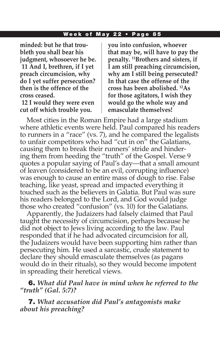**minded: but he that troubleth you shall bear his judgment, whosoever he be. 11 And I, brethren, if I yet preach circumcision, why do I yet suffer persecution? then is the offence of the cross ceased.**

**12 I would they were even cut off which trouble you.**

**you into confusion, whoever that may be, will have to pay the penalty. 11Brothers and sisters, if I am still preaching circumcision, why am I still being persecuted? In that case the offense of the cross has been abolished. 12As for those agitators, I wish they would go the whole way and emasculate themselves!**

Most cities in the Roman Empire had a large stadium where athletic events were held. Paul compared his readers to runners in a "race" (vs. 7), and he compared the legalists to unfair competitors who had "cut in on" the Galatians, causing them to break their runners' stride and hindering them from heeding the "truth" of the Gospel. Verse 9 quotes a popular saying of Paul's day—that a small amount of leaven (considered to be an evil, corrupting influence) was enough to cause an entire mass of dough to rise. False teaching, like yeast, spread and impacted everything it touched such as the believers in Galatia. But Paul was sure his readers belonged to the Lord, and God would judge those who created "confusion" (vs. 10) for the Galatians.

Apparently, the Judaizers had falsely claimed that Paul taught the necessity of circumcision, perhaps because he did not object to Jews living according to the law. Paul responded that if he had advocated circumcision for all, the Judaizers would have been supporting him rather than persecuting him. He used a sarcastic, crude statement to declare they should emasculate themselves (as pagans would do in their rituals), so they would become impotent in spreading their heretical views.

6. *What did Paul have in mind when he referred to the "truth" (Gal. 5:7)?*

7. *What accusation did Paul's antagonists make about his preaching?*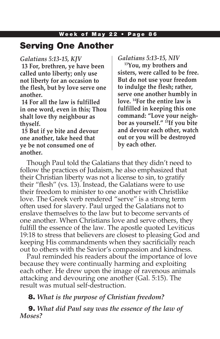## Serving One Another

### *Galatians 5:13-15, KJV*

**13 For, brethren, ye have been called unto liberty; only use not liberty for an occasion to the flesh, but by love serve one another.**

**14 For all the law is fulfilled in one word, even in this; Thou shalt love thy neighbour as thyself.**

**15 But if ye bite and devour one another, take heed that ye be not consumed one of another.**

## *Galatians 5:13-15, NIV*

**13You, my brothers and sisters, were called to be free. But do not use your freedom to indulge the flesh; rather, serve one another humbly in love. 14For the entire law is fulfilled in keeping this one command: "Love your neighbor as yourself." 15If you bite and devour each other, watch out or you will be destroyed by each other.**

Though Paul told the Galatians that they didn't need to follow the practices of Judaism, he also emphasized that their Christian liberty was not a license to sin, to gratify their "flesh" (vs. 13). Instead, the Galatians were to use their freedom to minister to one another with Christlike love. The Greek verb rendered "serve" is a strong term often used for slavery. Paul urged the Galatians not to enslave themselves to the law but to become servants of one another. When Christians love and serve others, they fulfill the essence of the law. The apostle quoted Leviticus 19:18 to stress that believers are closest to pleasing God and keeping His commandments when they sacrificially reach out to others with the Savior's compassion and kindness.

Paul reminded his readers about the importance of love because they were continually harming and exploiting each other. He drew upon the image of ravenous animals attacking and devouring one another (Gal. 5:15). The result was mutual self-destruction.

## 8. *What is the purpose of Christian freedom?*

9. *What did Paul say was the essence of the law of Moses?*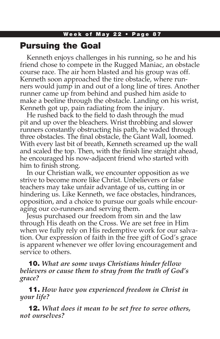## Pursuing the Goal

Kenneth enjoys challenges in his running, so he and his friend chose to compete in the Rugged Maniac, an obstacle course race. The air horn blasted and his group was off. Kenneth soon approached the tire obstacle, where runners would jump in and out of a long line of tires. Another runner came up from behind and pushed him aside to make a beeline through the obstacle. Landing on his wrist, Kenneth got up, pain radiating from the injury.

He rushed back to the field to dash through the mud pit and up over the bleachers. Wrist throbbing and slower runners constantly obstructing his path, he waded through three obstacles. The final obstacle, the Giant Wall, loomed. With every last bit of breath, Kenneth screamed up the wall and scaled the top. Then, with the finish line straight ahead, he encouraged his now-adjacent friend who started with him to finish strong.

In our Christian walk, we encounter opposition as we strive to become more like Christ. Unbelievers or false teachers may take unfair advantage of us, cutting in or hindering us. Like Kenneth, we face obstacles, hindrances, opposition, and a choice to pursue our goals while encouraging our co-runners and serving them.

Jesus purchased our freedom from sin and the law through His death on the Cross. We are set free in Him when we fully rely on His redemptive work for our salvation. Our expression of faith in the free gift of God's grace is apparent whenever we offer loving encouragement and service to others.

10. *What are some ways Christians hinder fellow believers or cause them to stray from the truth of God's grace?*

11. *How have you experienced freedom in Christ in your life?*

12. *What does it mean to be set free to serve others, not ourselves?*